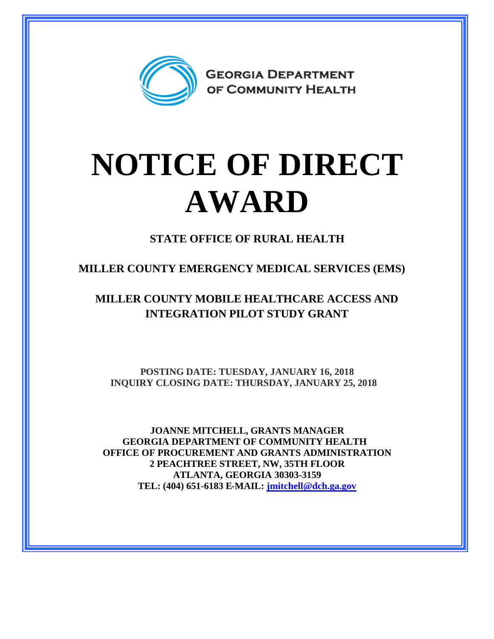

## **NOTICE OF DIRECT AWARD**

**STATE OFFICE OF RURAL HEALTH**

**MILLER COUNTY EMERGENCY MEDICAL SERVICES (EMS)**

**MILLER COUNTY MOBILE HEALTHCARE ACCESS AND INTEGRATION PILOT STUDY GRANT**

**POSTING DATE: TUESDAY, JANUARY 16, 2018 INQUIRY CLOSING DATE: THURSDAY, JANUARY 25, 2018**

**JOANNE MITCHELL, GRANTS MANAGER GEORGIA DEPARTMENT OF COMMUNITY HEALTH OFFICE OF PROCUREMENT AND GRANTS ADMINISTRATION 2 PEACHTREE STREET, NW, 35TH FLOOR ATLANTA, GEORGIA 30303-3159 TEL: (404) 651-6183 E-MAIL: [jmitchell@dch.ga.gov](mailto:jmitchell@dch.ga.gov)**